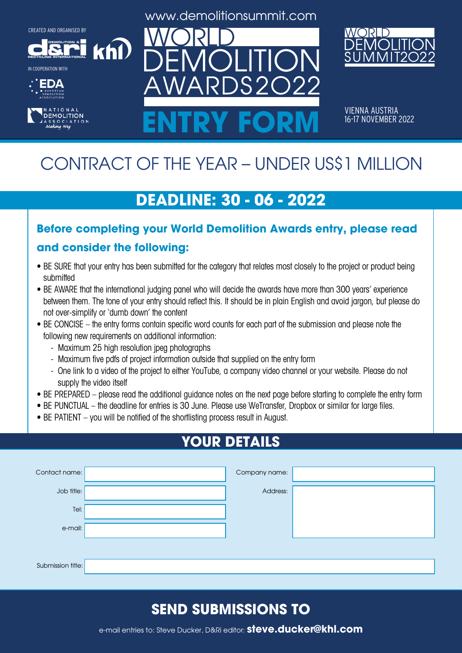**DEMOLITION &**

**RECYCLING INTERNATIONAL** IN COOPERATION WITH





www.demolitionsummit.com



VIENNA AUSTRIA<br>16-17 NOVEMBER 2022 ENTRY FORM **16-17 NOVEMBER 2022** 

# CONTRACT OF THE YEAR – UNDER US\$1 MILLION

## **DEADLINE: 30 - 06 - 2022**

# **Before completing your World Demolition Awards entry, please read**

#### **and consider the following:**

khl

- BE SURE that your entry has been submitted for the category that relates most closely to the project or product being submitted
- BE AWARE that the international judging panel who will decide the awards have more than 300 years' experience between them. The tone of your entry should reflect this. It should be in plain English and avoid jargon, but please do not over-simplify or 'dumb down' the content
- BE CONCISE the entry forms contain specific word counts for each part of the submission and please note the following new requirements on additional information:
	- Maximum 25 high resolution jpeg photographs
	- Maximum five pdfs of project information outside that supplied on the entry form
	- One link to a video of the project to either YouTube, a company video channel or your website. Please do not supply the video itself
- BE PREPARED please read the additional guidance notes on the next page before starting to complete the entry form
- BE PUNCTUAL the deadline for entries is 30 June. Please use WeTransfer, Dropbox or similar for large files.
- BE PATIENT you will be notified of the shortlisting process result in August.

## **YOUR DETAILS**

| Contact name:     | Company name: |  |
|-------------------|---------------|--|
| Job title:        | Address:      |  |
| Tel:              |               |  |
| e-mail:           |               |  |
|                   |               |  |
| Submission title: |               |  |

## **SEND SUBMISSIONS TO**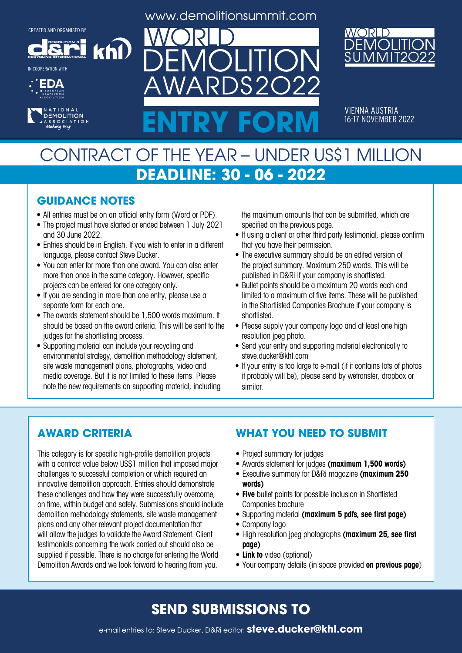**DEMOLITION &**

**khl** 

**RECYCLING INTERNATIONAL** IN COOPERATION WITH





www.demolitionsummit.com

 $S2$ 



VIENNA AUSTRIA<br>16-17 NOVEMBER 2022 ENTRY FORM **16-17 NOVEMBER 2022** 

## CONTRACT OF THE YEAR – UNDER US\$1 MILLION **DEADLINE: 30 - 06 - 2022**

#### **GUIDANCE NOTES**

- All entries must be on an official entry form (Word or PDF).
- The project must have started or ended between 1 July 2021 and 30 June 2022.
- Entries should be in English. If you wish to enter in a different language, please contact Steve Ducker.
- You can enter for more than one award. You can also enter more than once in the same category. However, specific projects can be entered for one category only.
- If you are sending in more than one entry, please use a separate form for each one.
- The awards statement should be 1,500 words maximum. It should be based on the award criteria. This will be sent to the judges for the shortlisting process.
- Supporting material can include your recycling and environmental strategy, demolition methodology statement, site waste management plans, photographs, video and media coverage. But it is not limited to these items. Please note the new requirements on supporting material, including

the maximum amounts that can be submitted, which are specified on the previous page.

- If using a client or other third party testimonial, please confirm that you have their permission.
- The executive summary should be an edited version of the project summary. Maximum 250 words. This will be published in D&Ri if your company is shortlisted.
- Bullet points should be a maximum 20 words each and limited to a maximum of five items. These will be published in the Shortlisted Companies Brochure if your company is shortlisted.
- Please supply your company logo and at least one high resolution jpeg photo.
- Send your entry and supporting material electronically to steve.ducker@khl.com
- If your entry is too large to e-mail (if it contains lots of photos it probably will be), please send by wetransfer, dropbox or similar.

#### **AWARD CRITERIA**

This category is for specific high-profile demolition projects with a contract value below US\$1 million that imposed major challenges to successful completion or which required an innovative demolition approach. Entries should demonstrate these challenges and how they were successfully overcome, on time, within budget and safely. Submissions should include demolition methodology statements, site waste management plans and any other relevant project documentation that will allow the judges to validate the Award Statement. Client testimonials concerning the work carried out should also be supplied if possible. There is no charge for entering the World Demolition Awards and we look forward to hearing from you.

#### **WHAT YOU NEED TO SUBMIT**

- Project summary for judges
- • Awards statement for judges **(maximum 1,500 words)**
- • Executive summary for D&Ri magazine **(maximum 250 words)**
- **• Five** bullet points for possible inclusion in Shortlisted Companies brochure
- • Supporting material **(maximum 5 pdfs, see first page)**
- Company logo
- • High resolution jpeg photographs **(maximum 25, see first page)**
- **• Link to** video (optional)
- • Your company details (in space provided **on previous page**)

#### **SEND SUBMISSIONS TO**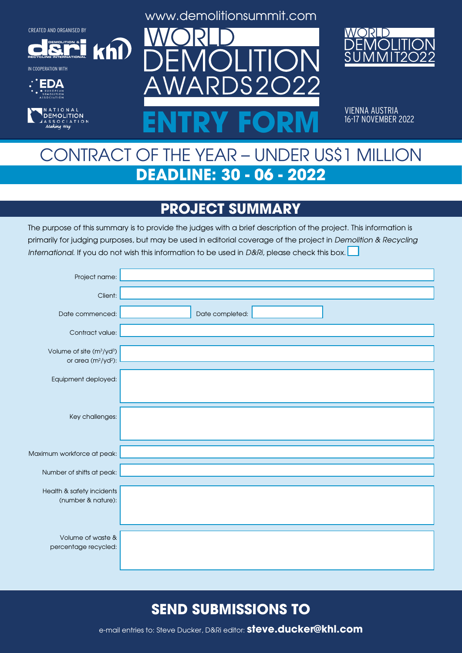**DEMOLITION &**

 $k$ h $\Omega$ 



IN COOPERATION WITH





www.demolitionsummit.com



VIENNA AUSTRIA<br>16-17 NOVEMBER 2022 ENTRY FORM **16-17 NOVEMBER 2022** 

## CONTRACT OF THE YEAR – UNDER US\$1 MILLION **DEADLINE: 30 - 06 - 2022**

### **PROJECT SUMMARY**

The purpose of this summary is to provide the judges with a brief description of the project. This information is primarily for judging purposes, but may be used in editorial coverage of the project in Demolition & Recycling International. If you do not wish this information to be used in D&Ri, please check this box.

| Project name:                                                               |                 |
|-----------------------------------------------------------------------------|-----------------|
| Client:                                                                     |                 |
| Date commenced:                                                             | Date completed: |
| Contract value:                                                             |                 |
| Volume of site (m <sup>3</sup> /yd <sup>3</sup> )<br>or area $(m^2/yd^2)$ : |                 |
| Equipment deployed:                                                         |                 |
|                                                                             |                 |
| Key challenges:                                                             |                 |
|                                                                             |                 |
| Maximum workforce at peak:                                                  |                 |
| Number of shifts at peak:                                                   |                 |
| Health & safety incidents                                                   |                 |
| (number & nature):                                                          |                 |
|                                                                             |                 |
| Volume of waste &                                                           |                 |
| percentage recycled:                                                        |                 |

#### **SEND SUBMISSIONS TO**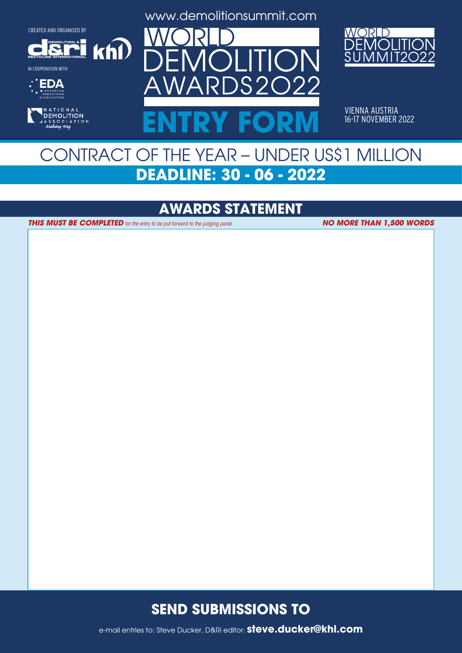**DEMOLITION &**

 $k$ h $\Omega$ 

**RECYCLING INTERNATIONAL**

IN COOPERATION WITH





www.demolitionsummit.com



VIENNA AUSTRIA<br>16-17 NOVEMBER 2022 ENTRY FORM **16-17 NOVEMBER 2022** 

## CONTRACT OF THE YEAR – UNDER US\$1 MILLION **DEADLINE: 30 - 06 - 2022**

#### **AWARDS STATEMENT**

**THIS MUST BE COMPLETED** for the entry to be put forward to the judging panel

**NO MORE THAN 1,500 WORDS**

#### **SEND SUBMISSIONS TO**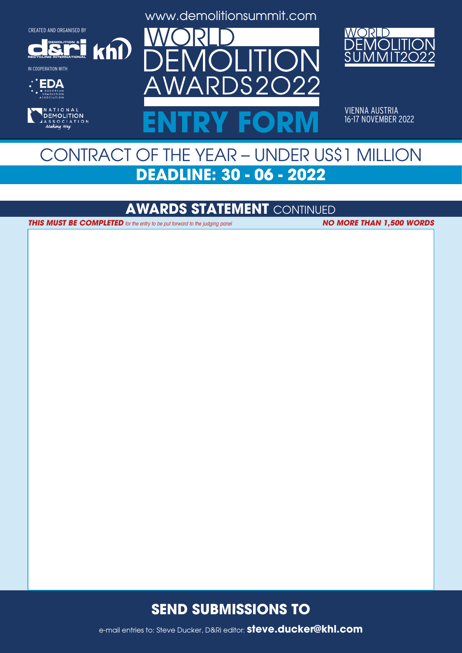**DEMOLITION &**

 $k$ h $\Omega$ 

**RECYCLING INTERNATIONAL**

IN COOPERATION WITH





www.demolitionsummit.com



VIENNA AUSTRIA<br>16-17 NOVEMBER 2022 ENTRY FORM **16-17 NOVEMBER 2022** 

## CONTRACT OF THE YEAR – UNDER US\$1 MILLION **DEADLINE: 30 - 06 - 2022**

#### **AWARDS STATEMENT** CONTINUED

**THIS MUST BE COMPLETED** for the entry to be put forward to the judging panel **NO MORE THAN 1,500 WORDS** 

#### **SEND SUBMISSIONS TO**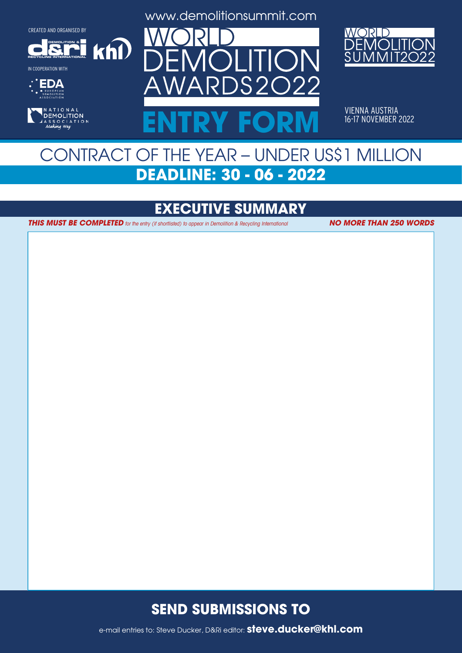**DEMOLITION &**

 $k$ h $\Omega$ 

**RECYCLING INTERNATIONAL**

IN COOPERATION WITH





www.demolitionsummit.com



VIENNA AUSTRIA<br>16-17 NOVEMBER 2022 ENTRY FORM **16-17 NOVEMBER 2022** 

## CONTRACT OF THE YEAR – UNDER US\$1 MILLION **DEADLINE: 30 - 06 - 2022**

### **EXECUTIVE SUMMARY**

**THIS MUST BE COMPLETED** for the entry (if shortlisted) to appear in Demolition & Recycling International **NO MORE THAN 250 WORDS** 

#### **SEND SUBMISSIONS TO**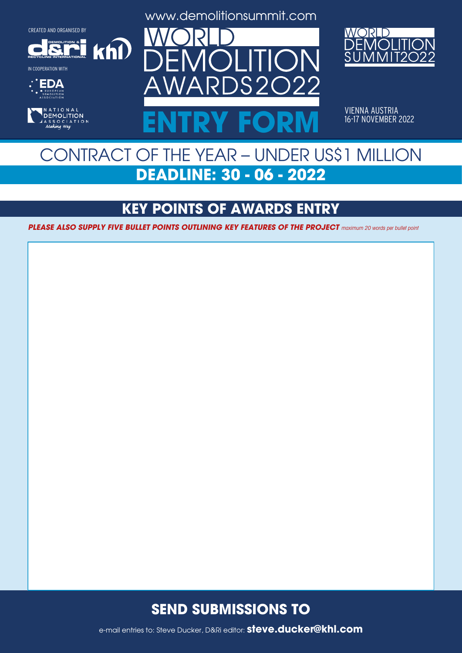**DEMOLITION &**

 $k$ h $\Omega$ 

**RECYCLING INTERNATIONAL**

IN COOPERATION WITH





www.demolitionsummit.com



VIENNA AUSTRIA<br>16-17 NOVEMBER 2022 ENTRY FORM **16-17 NOVEMBER 2022** 

## CONTRACT OF THE YEAR – UNDER US\$1 MILLION **DEADLINE: 30 - 06 - 2022**

### **KEY POINTS OF AWARDS ENTRY**

**PLEASE ALSO SUPPLY FIVE BULLET POINTS OUTLINING KEY FEATURES OF THE PROJECT** maximum 20 words per bullet point

#### **SEND SUBMISSIONS TO**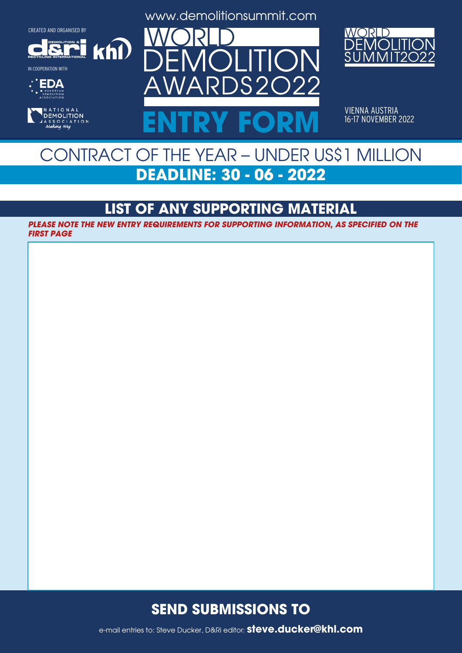**DEMOLITION &**

 $k$ h $\Omega$ 

**RECYCLING INTERNATIONAL**

IN COOPERATION WITH





www.demolitionsummit.com



VIENNA AUSTRIA<br>16-17 NOVEMBER 2022 ENTRY FORM **16-17 NOVEMBER 2022** 

## CONTRACT OF THE YEAR – UNDER US\$1 MILLION **DEADLINE: 30 - 06 - 2022**

### **LIST OF ANY SUPPORTING MATERIAL**

**PLEASE NOTE THE NEW ENTRY REQUIREMENTS FOR SUPPORTING INFORMATION, AS SPECIFIED ON THE FIRST PAGE**

#### **SEND SUBMISSIONS TO**